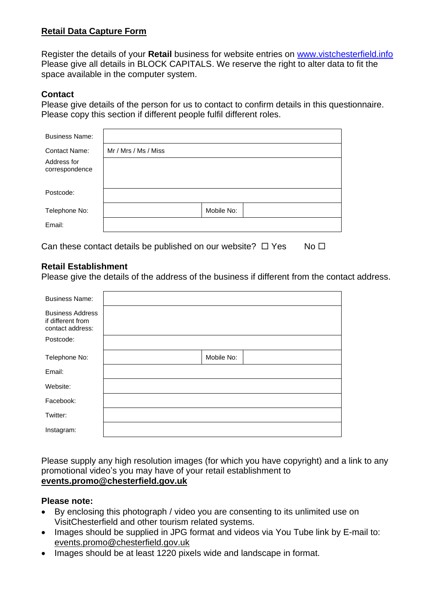## **Retail Data Capture Form**

Register the details of your **Retail** business for website entries on [www.vistchesterfield.info](http://www.vistchesterfield.info/) Please give all details in BLOCK CAPITALS. We reserve the right to alter data to fit the space available in the computer system.

## **Contact**

Please give details of the person for us to contact to confirm details in this questionnaire. Please copy this section if different people fulfil different roles.

| <b>Business Name:</b>         |                      |            |  |
|-------------------------------|----------------------|------------|--|
| <b>Contact Name:</b>          | Mr / Mrs / Ms / Miss |            |  |
| Address for<br>correspondence |                      |            |  |
|                               |                      |            |  |
| Postcode:                     |                      |            |  |
| Telephone No:                 |                      | Mobile No: |  |
| Email:                        |                      |            |  |
|                               |                      |            |  |

Can these contact details be published on our website?  $\Box$  Yes No  $\Box$ 

## **Retail Establishment**

Please give the details of the address of the business if different from the contact address.

| <b>Business Name:</b>                                            |            |  |
|------------------------------------------------------------------|------------|--|
| <b>Business Address</b><br>if different from<br>contact address: |            |  |
| Postcode:                                                        |            |  |
| Telephone No:                                                    | Mobile No: |  |
| Email:                                                           |            |  |
| Website:                                                         |            |  |
| Facebook:                                                        |            |  |
| Twitter:                                                         |            |  |
| Instagram:                                                       |            |  |

Please supply any high resolution images (for which you have copyright) and a link to any promotional video's you may have of your retail establishment to **[events.promo@chesterfield.gov.uk](mailto:events.promo@chesterfield.gov.uk)**

#### **Please note:**

- By enclosing this photograph / video you are consenting to its unlimited use on VisitChesterfield and other tourism related systems.
- Images should be supplied in JPG format and videos via You Tube link by E-mail to: [events.promo@chesterfield.gov.uk](mailto:events.promo@chesterfield.gov.uk)
- Images should be at least 1220 pixels wide and landscape in format.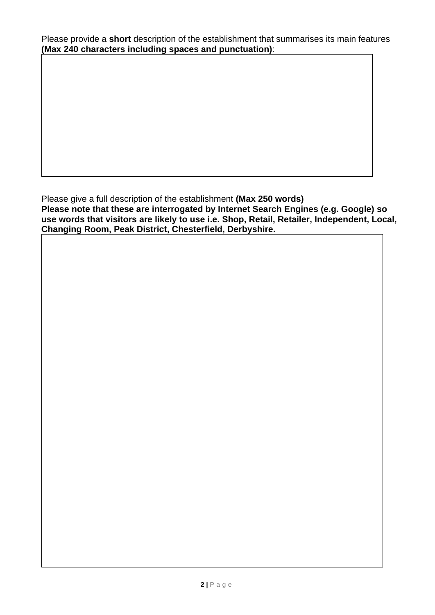Please provide a **short** description of the establishment that summarises its main features **(Max 240 characters including spaces and punctuation)**:

Please give a full description of the establishment **(Max 250 words) Please note that these are interrogated by Internet Search Engines (e.g. Google) so use words that visitors are likely to use i.e. Shop, Retail, Retailer, Independent, Local, Changing Room, Peak District, Chesterfield, Derbyshire.**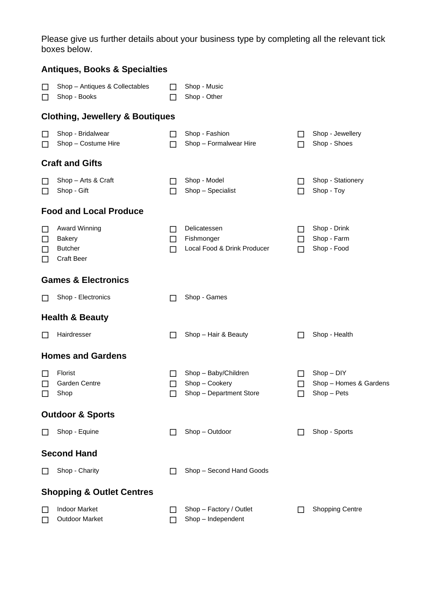Please give us further details about your business type by completing all the relevant tick boxes below.

|                       | <b>Antiques, Books &amp; Specialties</b>                                     |                               |                                                                   |                   |                                                       |
|-----------------------|------------------------------------------------------------------------------|-------------------------------|-------------------------------------------------------------------|-------------------|-------------------------------------------------------|
| □<br>□                | Shop - Antiques & Collectables<br>Shop - Books                               | ΙI                            | Shop - Music<br>Shop - Other                                      |                   |                                                       |
|                       | <b>Clothing, Jewellery &amp; Boutiques</b>                                   |                               |                                                                   |                   |                                                       |
| $\Box$<br>□           | Shop - Bridalwear<br>Shop - Costume Hire                                     | ΙI<br>П                       | Shop - Fashion<br>Shop - Formalwear Hire                          | $\mathsf{L}$<br>П | Shop - Jewellery<br>Shop - Shoes                      |
|                       | <b>Craft and Gifts</b>                                                       |                               |                                                                   |                   |                                                       |
| ப<br>□                | Shop - Arts & Craft<br>Shop - Gift                                           | П                             | Shop - Model<br>Shop - Specialist                                 | П                 | Shop - Stationery<br>Shop - Toy                       |
|                       | <b>Food and Local Produce</b>                                                |                               |                                                                   |                   |                                                       |
| □<br>□<br>ப<br>$\Box$ | <b>Award Winning</b><br><b>Bakery</b><br><b>Butcher</b><br><b>Craft Beer</b> | $\mathsf{L}$<br>$\perp$<br>ΙI | Delicatessen<br>Fishmonger<br>Local Food & Drink Producer         | ΙI<br>□<br>ΙI     | Shop - Drink<br>Shop - Farm<br>Shop - Food            |
|                       | <b>Games &amp; Electronics</b>                                               |                               |                                                                   |                   |                                                       |
| $\Box$                | Shop - Electronics                                                           | ΙI                            | Shop - Games                                                      |                   |                                                       |
|                       | <b>Health &amp; Beauty</b>                                                   |                               |                                                                   |                   |                                                       |
| □                     | Hairdresser                                                                  | П                             | Shop - Hair & Beauty                                              | ΙI                | Shop - Health                                         |
|                       | <b>Homes and Gardens</b>                                                     |                               |                                                                   |                   |                                                       |
| □<br>□<br>$\Box$      | Florist<br>Garden Centre<br>Shop                                             | ΙI<br>ப                       | Shop - Baby/Children<br>Shop - Cookery<br>Shop - Department Store | $\mathsf{L}$<br>ப | $Shop - D1Y$<br>Shop - Homes & Gardens<br>Shop - Pets |
|                       | <b>Outdoor &amp; Sports</b>                                                  |                               |                                                                   |                   |                                                       |
| $\Box$                | Shop - Equine                                                                | П                             | Shop - Outdoor                                                    |                   | Shop - Sports                                         |
|                       | <b>Second Hand</b>                                                           |                               |                                                                   |                   |                                                       |
| $\Box$                | Shop - Charity                                                               | ΙI                            | Shop - Second Hand Goods                                          |                   |                                                       |
|                       | <b>Shopping &amp; Outlet Centres</b>                                         |                               |                                                                   |                   |                                                       |
| □<br>□                | <b>Indoor Market</b><br><b>Outdoor Market</b>                                | ΙI<br>П                       | Shop - Factory / Outlet<br>Shop - Independent                     |                   | <b>Shopping Centre</b>                                |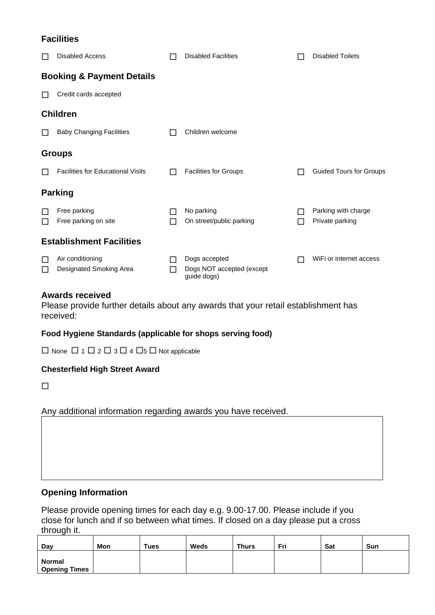# **Facilities**

|   | <b>Disabled Access</b>                   |        | <b>Disabled Facilities</b>               |   | <b>Disabled Toilets</b>                |
|---|------------------------------------------|--------|------------------------------------------|---|----------------------------------------|
|   | <b>Booking &amp; Payment Details</b>     |        |                                          |   |                                        |
|   | Credit cards accepted                    |        |                                          |   |                                        |
|   | <b>Children</b>                          |        |                                          |   |                                        |
|   | <b>Baby Changing Facilities</b>          |        | Children welcome                         |   |                                        |
|   | <b>Groups</b>                            |        |                                          |   |                                        |
|   | <b>Facilities for Educational Visits</b> |        | <b>Facilities for Groups</b>             | П | <b>Guided Tours for Groups</b>         |
|   | <b>Parking</b>                           |        |                                          |   |                                        |
| П | Free parking<br>Free parking on site     | □<br>П | No parking<br>On street/public parking   | П | Parking with charge<br>Private parking |
|   | <b>Establishment Facilities</b>          |        |                                          |   |                                        |
|   | Air conditioning                         |        | Dogs accepted                            |   | WiFi or internet access                |
|   | Designated Smoking Area                  |        | Dogs NOT accepted (except<br>guide dogs) |   |                                        |

### **Awards received**

Please provide further details about any awards that your retail establishment has received:

## **Food Hygiene Standards (applicable for shops serving food)**

 $\Box$  None  $\Box$  1  $\Box$  2  $\Box$  3  $\Box$  4  $\Box$ 5  $\Box$  Not applicable

#### **Chesterfield High Street Award**

 $\Box$ 

## Any additional information regarding awards you have received.

# **Opening Information**

Please provide opening times for each day e.g. 9.00-17.00. Please include if you close for lunch and if so between what times. If closed on a day please put a cross through it.

| Dav                  | Mon | <b>Tues</b> | <b>Weds</b> | Thurs | Fri | Sat | Sun |
|----------------------|-----|-------------|-------------|-------|-----|-----|-----|
|                      |     |             |             |       |     |     |     |
| <b>Normal</b>        |     |             |             |       |     |     |     |
| <b>Opening Times</b> |     |             |             |       |     |     |     |